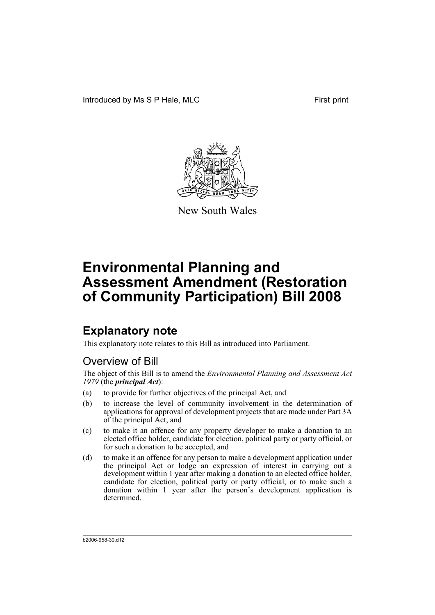

New South Wales

# **Explanatory note**

This explanatory note relates to this Bill as introduced into Parliament.

### Overview of Bill

The object of this Bill is to amend the *Environmental Planning and Assessment Act 1979* (the *principal Act*):

- (a) to provide for further objectives of the principal Act, and
- (b) to increase the level of community involvement in the determination of applications for approval of development projects that are made under Part 3A of the principal Act, and
- (c) to make it an offence for any property developer to make a donation to an elected office holder, candidate for election, political party or party official, or for such a donation to be accepted, and
- (d) to make it an offence for any person to make a development application under the principal Act or lodge an expression of interest in carrying out a development within 1 year after making a donation to an elected office holder, candidate for election, political party or party official, or to make such a donation within 1 year after the person's development application is determined.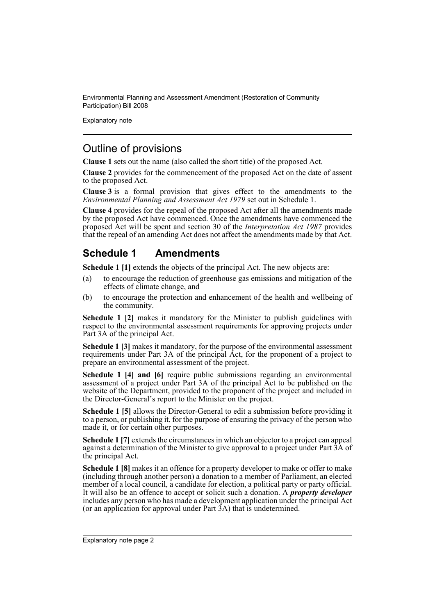Explanatory note

### Outline of provisions

**Clause 1** sets out the name (also called the short title) of the proposed Act.

**Clause 2** provides for the commencement of the proposed Act on the date of assent to the proposed Act.

**Clause 3** is a formal provision that gives effect to the amendments to the *Environmental Planning and Assessment Act 1979* set out in Schedule 1.

**Clause 4** provides for the repeal of the proposed Act after all the amendments made by the proposed Act have commenced. Once the amendments have commenced the proposed Act will be spent and section 30 of the *Interpretation Act 1987* provides that the repeal of an amending Act does not affect the amendments made by that Act.

## **Schedule 1 Amendments**

**Schedule 1 [1]** extends the objects of the principal Act. The new objects are:

- (a) to encourage the reduction of greenhouse gas emissions and mitigation of the effects of climate change, and
- (b) to encourage the protection and enhancement of the health and wellbeing of the community.

**Schedule 1 [2]** makes it mandatory for the Minister to publish guidelines with respect to the environmental assessment requirements for approving projects under Part 3A of the principal Act.

**Schedule 1 [3]** makes it mandatory, for the purpose of the environmental assessment requirements under Part 3A of the principal Act, for the proponent of a project to prepare an environmental assessment of the project.

**Schedule 1 [4] and [6]** require public submissions regarding an environmental assessment of a project under Part 3A of the principal Act to be published on the website of the Department, provided to the proponent of the project and included in the Director-General's report to the Minister on the project.

**Schedule 1 [5]** allows the Director-General to edit a submission before providing it to a person, or publishing it, for the purpose of ensuring the privacy of the person who made it, or for certain other purposes.

**Schedule 1 [7]** extends the circumstances in which an objector to a project can appeal against a determination of the Minister to give approval to a project under Part 3A of the principal Act.

**Schedule 1 [8]** makes it an offence for a property developer to make or offer to make (including through another person) a donation to a member of Parliament, an elected member of a local council, a candidate for election, a political party or party official. It will also be an offence to accept or solicit such a donation. A *property developer* includes any person who has made a development application under the principal Act (or an application for approval under Part  $3A$ ) that is undetermined.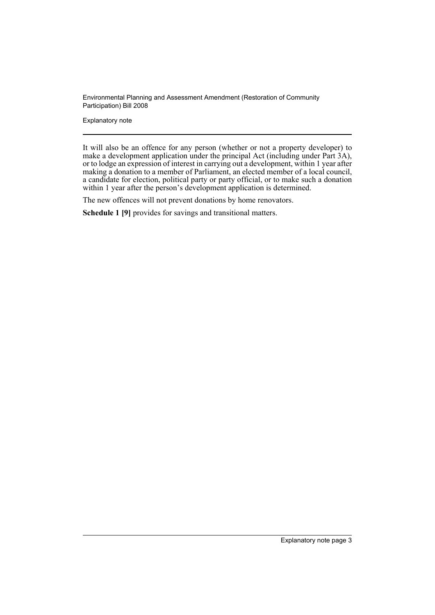Explanatory note

It will also be an offence for any person (whether or not a property developer) to make a development application under the principal Act (including under Part 3A), or to lodge an expression of interest in carrying out a development, within 1 year after making a donation to a member of Parliament, an elected member of a local council, a candidate for election, political party or party official, or to make such a donation within 1 year after the person's development application is determined.

The new offences will not prevent donations by home renovators.

**Schedule 1 [9]** provides for savings and transitional matters.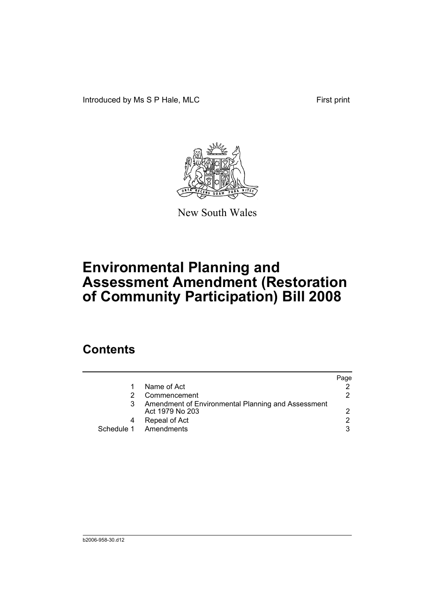Introduced by Ms S P Hale, MLC First print



New South Wales

# **Environmental Planning and Assessment Amendment (Restoration of Community Participation) Bill 2008**

## **Contents**

|   |                                                                       | Page |
|---|-----------------------------------------------------------------------|------|
|   | Name of Act                                                           |      |
|   | Commencement                                                          | 2.   |
|   | Amendment of Environmental Planning and Assessment<br>Act 1979 No 203 |      |
| 4 | Repeal of Act                                                         | 2    |
|   | Schedule 1 Amendments                                                 | 3    |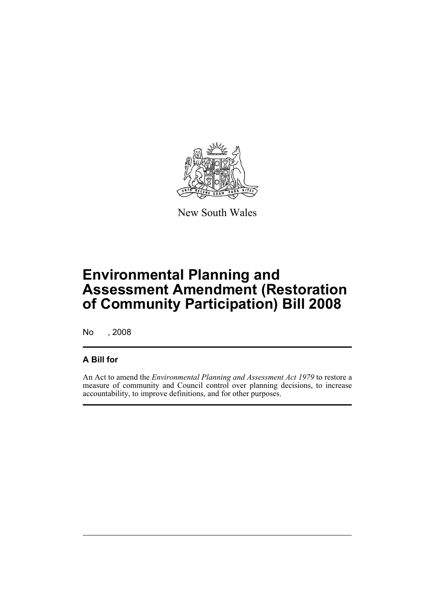

New South Wales

# **Environmental Planning and Assessment Amendment (Restoration of Community Participation) Bill 2008**

No , 2008

#### **A Bill for**

An Act to amend the *Environmental Planning and Assessment Act 1979* to restore a measure of community and Council control over planning decisions, to increase accountability, to improve definitions, and for other purposes.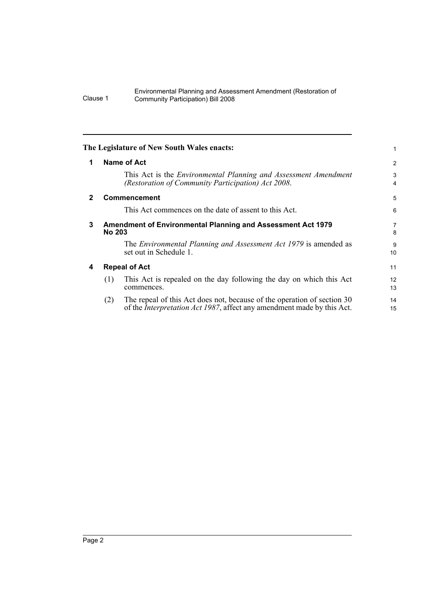<span id="page-7-3"></span><span id="page-7-2"></span><span id="page-7-1"></span><span id="page-7-0"></span>

|              |               | The Legislature of New South Wales enacts:                                                                                                                | 1                   |
|--------------|---------------|-----------------------------------------------------------------------------------------------------------------------------------------------------------|---------------------|
| 1            |               | Name of Act                                                                                                                                               | 2                   |
|              |               | This Act is the <i>Environmental Planning and Assessment Amendment</i><br>(Restoration of Community Participation) Act 2008.                              | 3<br>$\overline{4}$ |
| $\mathbf{2}$ |               | <b>Commencement</b>                                                                                                                                       | 5                   |
|              |               | This Act commences on the date of assent to this Act.                                                                                                     | 6                   |
| 3            | <b>No 203</b> | <b>Amendment of Environmental Planning and Assessment Act 1979</b>                                                                                        | $\overline{7}$<br>8 |
|              |               | The <i>Environmental Planning and Assessment Act 1979</i> is amended as<br>set out in Schedule 1.                                                         | 9<br>10             |
| 4            |               | <b>Repeal of Act</b>                                                                                                                                      | 11                  |
|              | (1)           | This Act is repealed on the day following the day on which this Act<br>commences.                                                                         | 12<br>13            |
|              | (2)           | The repeal of this Act does not, because of the operation of section 30<br>of the <i>Interpretation Act 1987</i> , affect any amendment made by this Act. | 14<br>15            |
|              |               |                                                                                                                                                           |                     |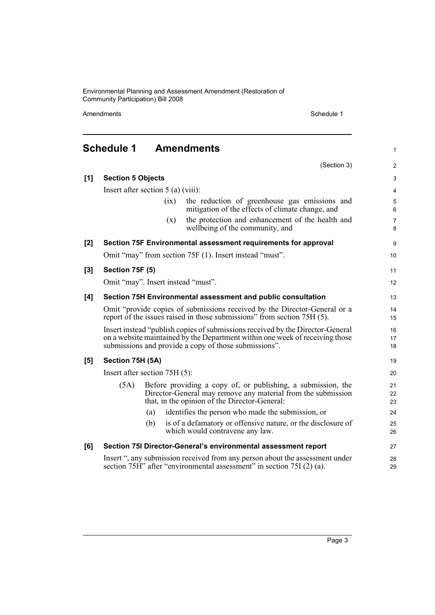Amendments Schedule 1

(Section 3)

1

2

## <span id="page-8-0"></span>**Schedule 1 Amendments**

| [1]   | <b>Section 5 Objects</b>                                                                                                                                                                                                |      |                                                                                                                                                                               | 3                   |
|-------|-------------------------------------------------------------------------------------------------------------------------------------------------------------------------------------------------------------------------|------|-------------------------------------------------------------------------------------------------------------------------------------------------------------------------------|---------------------|
|       | Insert after section $5$ (a) (viii):                                                                                                                                                                                    |      |                                                                                                                                                                               |                     |
|       |                                                                                                                                                                                                                         | (ix) | the reduction of greenhouse gas emissions and<br>mitigation of the effects of climate change, and                                                                             | 5<br>6              |
|       |                                                                                                                                                                                                                         | (x)  | the protection and enhancement of the health and<br>wellbeing of the community, and                                                                                           | $\overline{7}$<br>8 |
| $[2]$ | Section 75F Environmental assessment requirements for approval                                                                                                                                                          |      |                                                                                                                                                                               |                     |
|       | Omit "may" from section 75F (1). Insert instead "must".                                                                                                                                                                 |      |                                                                                                                                                                               |                     |
| $[3]$ | Section 75F (5)                                                                                                                                                                                                         |      |                                                                                                                                                                               |                     |
|       | Omit "may". Insert instead "must".                                                                                                                                                                                      |      |                                                                                                                                                                               |                     |
| [4]   | Section 75H Environmental assessment and public consultation                                                                                                                                                            |      |                                                                                                                                                                               |                     |
|       | Omit "provide copies of submissions received by the Director-General or a<br>report of the issues raised in those submissions" from section 75H (5).                                                                    |      |                                                                                                                                                                               |                     |
|       | Insert instead "publish copies of submissions received by the Director-General<br>on a website maintained by the Department within one week of receiving those<br>submissions and provide a copy of those submissions". |      |                                                                                                                                                                               | 16<br>17<br>18      |
| [5]   | Section 75H (5A)                                                                                                                                                                                                        |      |                                                                                                                                                                               | 19                  |
|       | Insert after section $75H(5)$ :                                                                                                                                                                                         |      |                                                                                                                                                                               | 20                  |
|       | (5A)                                                                                                                                                                                                                    |      | Before providing a copy of, or publishing, a submission, the<br>Director-General may remove any material from the submission<br>that, in the opinion of the Director-General: | 21<br>22<br>23      |
|       |                                                                                                                                                                                                                         | (a)  | identifies the person who made the submission, or                                                                                                                             | 24                  |
|       |                                                                                                                                                                                                                         | (b)  | is of a defamatory or offensive nature, or the disclosure of<br>which would contravene any law.                                                                               | 25<br>26            |
| [6]   |                                                                                                                                                                                                                         |      | Section 75I Director-General's environmental assessment report                                                                                                                | 27                  |
|       |                                                                                                                                                                                                                         |      | Insert ", any submission received from any person about the assessment under<br>section 75H" after "environmental assessment" in section 75I (2) (a).                         | 28<br>29            |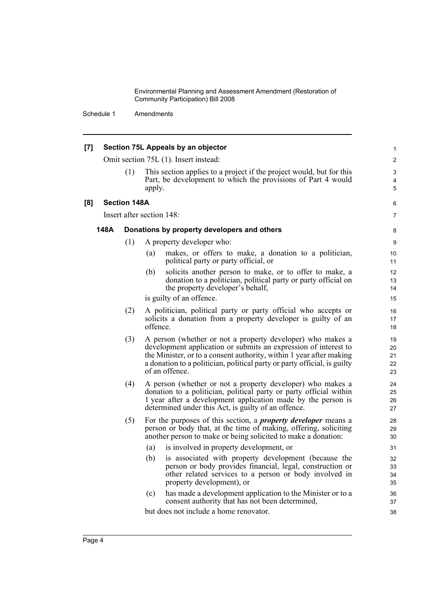Schedule 1 Amendments

| [7] |                                                                                                                                                    |                                             | Section 75L Appeals by an objector                                                                                                                                                                                                                                                                 | 1                          |  |
|-----|----------------------------------------------------------------------------------------------------------------------------------------------------|---------------------------------------------|----------------------------------------------------------------------------------------------------------------------------------------------------------------------------------------------------------------------------------------------------------------------------------------------------|----------------------------|--|
|     |                                                                                                                                                    |                                             | Omit section 75L (1). Insert instead:                                                                                                                                                                                                                                                              | $\overline{c}$             |  |
|     |                                                                                                                                                    | (1)                                         | This section applies to a project if the project would, but for this<br>Part, be development to which the provisions of Part 4 would<br>apply.                                                                                                                                                     | 3<br>4<br>5                |  |
| [8] |                                                                                                                                                    | <b>Section 148A</b>                         |                                                                                                                                                                                                                                                                                                    | 6                          |  |
|     |                                                                                                                                                    | Insert after section 148:                   |                                                                                                                                                                                                                                                                                                    |                            |  |
|     |                                                                                                                                                    |                                             |                                                                                                                                                                                                                                                                                                    | $\overline{7}$<br>8        |  |
|     | 148A                                                                                                                                               | Donations by property developers and others |                                                                                                                                                                                                                                                                                                    |                            |  |
|     |                                                                                                                                                    | (1)                                         | A property developer who:                                                                                                                                                                                                                                                                          | 9                          |  |
|     |                                                                                                                                                    |                                             | makes, or offers to make, a donation to a politician,<br>(a)<br>political party or party official, or                                                                                                                                                                                              | 10<br>11                   |  |
|     |                                                                                                                                                    |                                             | solicits another person to make, or to offer to make, a<br>(b)<br>donation to a politician, political party or party official on<br>the property developer's behalf,                                                                                                                               | 12<br>13<br>14             |  |
|     |                                                                                                                                                    |                                             | is guilty of an offence.                                                                                                                                                                                                                                                                           | 15                         |  |
|     | A politician, political party or party official who accepts or<br>(2)<br>solicits a donation from a property developer is guilty of an<br>offence. |                                             |                                                                                                                                                                                                                                                                                                    | 16<br>17<br>18             |  |
|     |                                                                                                                                                    | (3)                                         | A person (whether or not a property developer) who makes a<br>development application or submits an expression of interest to<br>the Minister, or to a consent authority, within 1 year after making<br>a donation to a politician, political party or party official, is guilty<br>of an offence. | 19<br>20<br>21<br>22<br>23 |  |
|     |                                                                                                                                                    | (4)                                         | A person (whether or not a property developer) who makes a<br>donation to a politician, political party or party official within<br>1 year after a development application made by the person is<br>determined under this Act, is guilty of an offence.                                            | 24<br>25<br>26<br>27       |  |
|     |                                                                                                                                                    | (5)                                         | For the purposes of this section, a <i>property developer</i> means a<br>person or body that, at the time of making, offering, soliciting<br>another person to make or being solicited to make a donation:                                                                                         | 28<br>29<br>30             |  |
|     |                                                                                                                                                    |                                             | is involved in property development, or<br>(a)                                                                                                                                                                                                                                                     | 31                         |  |
|     |                                                                                                                                                    |                                             | (b)<br>is associated with property development (because the<br>person or body provides financial, legal, construction or<br>other related services to a person or body involved in<br>property development), or                                                                                    | 32<br>33<br>34<br>35       |  |
|     |                                                                                                                                                    |                                             | has made a development application to the Minister or to a<br>(c)<br>consent authority that has not been determined,                                                                                                                                                                               | 36<br>37                   |  |
|     |                                                                                                                                                    |                                             | but does not include a home renovator.                                                                                                                                                                                                                                                             | 38                         |  |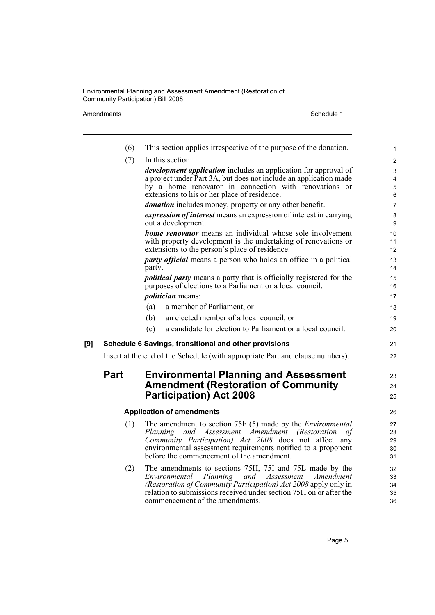#### Amendments Schedule 1

| (6)                                                                           | This section applies irrespective of the purpose of the donation.                        | 1                                                                                                                                                                                                                                                                                                                                                                                                                                                                                                                                                                                                                                                                                                                                                                                                                                                                                                                                                         |  |
|-------------------------------------------------------------------------------|------------------------------------------------------------------------------------------|-----------------------------------------------------------------------------------------------------------------------------------------------------------------------------------------------------------------------------------------------------------------------------------------------------------------------------------------------------------------------------------------------------------------------------------------------------------------------------------------------------------------------------------------------------------------------------------------------------------------------------------------------------------------------------------------------------------------------------------------------------------------------------------------------------------------------------------------------------------------------------------------------------------------------------------------------------------|--|
| (7)                                                                           | In this section:                                                                         | 2                                                                                                                                                                                                                                                                                                                                                                                                                                                                                                                                                                                                                                                                                                                                                                                                                                                                                                                                                         |  |
|                                                                               | <i>development application</i> includes an application for approval of                   | 3                                                                                                                                                                                                                                                                                                                                                                                                                                                                                                                                                                                                                                                                                                                                                                                                                                                                                                                                                         |  |
|                                                                               |                                                                                          | $\overline{4}$                                                                                                                                                                                                                                                                                                                                                                                                                                                                                                                                                                                                                                                                                                                                                                                                                                                                                                                                            |  |
|                                                                               |                                                                                          | 5<br>6                                                                                                                                                                                                                                                                                                                                                                                                                                                                                                                                                                                                                                                                                                                                                                                                                                                                                                                                                    |  |
|                                                                               | <i>donation</i> includes money, property or any other benefit.                           | $\overline{7}$                                                                                                                                                                                                                                                                                                                                                                                                                                                                                                                                                                                                                                                                                                                                                                                                                                                                                                                                            |  |
|                                                                               | expression of interest means an expression of interest in carrying<br>out a development. | 8<br>$\boldsymbol{9}$                                                                                                                                                                                                                                                                                                                                                                                                                                                                                                                                                                                                                                                                                                                                                                                                                                                                                                                                     |  |
|                                                                               | <b>home renovator</b> means an individual whose sole involvement                         | 10                                                                                                                                                                                                                                                                                                                                                                                                                                                                                                                                                                                                                                                                                                                                                                                                                                                                                                                                                        |  |
|                                                                               | extensions to the person's place of residence.                                           | 11<br>12                                                                                                                                                                                                                                                                                                                                                                                                                                                                                                                                                                                                                                                                                                                                                                                                                                                                                                                                                  |  |
|                                                                               | <i>party official</i> means a person who holds an office in a political<br>party.        | 13<br>14                                                                                                                                                                                                                                                                                                                                                                                                                                                                                                                                                                                                                                                                                                                                                                                                                                                                                                                                                  |  |
|                                                                               | <i>political party</i> means a party that is officially registered for the               | 15                                                                                                                                                                                                                                                                                                                                                                                                                                                                                                                                                                                                                                                                                                                                                                                                                                                                                                                                                        |  |
|                                                                               |                                                                                          | 16                                                                                                                                                                                                                                                                                                                                                                                                                                                                                                                                                                                                                                                                                                                                                                                                                                                                                                                                                        |  |
|                                                                               |                                                                                          | 17                                                                                                                                                                                                                                                                                                                                                                                                                                                                                                                                                                                                                                                                                                                                                                                                                                                                                                                                                        |  |
|                                                                               |                                                                                          | 18                                                                                                                                                                                                                                                                                                                                                                                                                                                                                                                                                                                                                                                                                                                                                                                                                                                                                                                                                        |  |
|                                                                               |                                                                                          | 19                                                                                                                                                                                                                                                                                                                                                                                                                                                                                                                                                                                                                                                                                                                                                                                                                                                                                                                                                        |  |
|                                                                               |                                                                                          | 20                                                                                                                                                                                                                                                                                                                                                                                                                                                                                                                                                                                                                                                                                                                                                                                                                                                                                                                                                        |  |
|                                                                               |                                                                                          | 21                                                                                                                                                                                                                                                                                                                                                                                                                                                                                                                                                                                                                                                                                                                                                                                                                                                                                                                                                        |  |
| Insert at the end of the Schedule (with appropriate Part and clause numbers): |                                                                                          |                                                                                                                                                                                                                                                                                                                                                                                                                                                                                                                                                                                                                                                                                                                                                                                                                                                                                                                                                           |  |
| <b>Part</b>                                                                   | <b>Environmental Planning and Assessment</b>                                             | 23                                                                                                                                                                                                                                                                                                                                                                                                                                                                                                                                                                                                                                                                                                                                                                                                                                                                                                                                                        |  |
|                                                                               |                                                                                          | 24                                                                                                                                                                                                                                                                                                                                                                                                                                                                                                                                                                                                                                                                                                                                                                                                                                                                                                                                                        |  |
|                                                                               |                                                                                          | 25                                                                                                                                                                                                                                                                                                                                                                                                                                                                                                                                                                                                                                                                                                                                                                                                                                                                                                                                                        |  |
| <b>Application of amendments</b>                                              |                                                                                          |                                                                                                                                                                                                                                                                                                                                                                                                                                                                                                                                                                                                                                                                                                                                                                                                                                                                                                                                                           |  |
| (1)                                                                           | The amendment to section 75F (5) made by the <i>Environmental</i>                        | 27                                                                                                                                                                                                                                                                                                                                                                                                                                                                                                                                                                                                                                                                                                                                                                                                                                                                                                                                                        |  |
|                                                                               | οf                                                                                       | 28                                                                                                                                                                                                                                                                                                                                                                                                                                                                                                                                                                                                                                                                                                                                                                                                                                                                                                                                                        |  |
|                                                                               |                                                                                          | 29<br>30                                                                                                                                                                                                                                                                                                                                                                                                                                                                                                                                                                                                                                                                                                                                                                                                                                                                                                                                                  |  |
|                                                                               | before the commencement of the amendment.                                                | 31                                                                                                                                                                                                                                                                                                                                                                                                                                                                                                                                                                                                                                                                                                                                                                                                                                                                                                                                                        |  |
| (2)                                                                           | The amendments to sections 75H, 75I and 75L made by the                                  | 32                                                                                                                                                                                                                                                                                                                                                                                                                                                                                                                                                                                                                                                                                                                                                                                                                                                                                                                                                        |  |
|                                                                               |                                                                                          | 33<br>34                                                                                                                                                                                                                                                                                                                                                                                                                                                                                                                                                                                                                                                                                                                                                                                                                                                                                                                                                  |  |
|                                                                               | relation to submissions received under section 75H on or after the                       | 35                                                                                                                                                                                                                                                                                                                                                                                                                                                                                                                                                                                                                                                                                                                                                                                                                                                                                                                                                        |  |
|                                                                               | commencement of the amendments.                                                          | 36                                                                                                                                                                                                                                                                                                                                                                                                                                                                                                                                                                                                                                                                                                                                                                                                                                                                                                                                                        |  |
|                                                                               |                                                                                          | a project under Part 3A, but does not include an application made<br>by a home renovator in connection with renovations or<br>extensions to his or her place of residence.<br>with property development is the undertaking of renovations or<br>purposes of elections to a Parliament or a local council.<br><i>politician</i> means:<br>a member of Parliament, or<br>(a)<br>an elected member of a local council, or<br>(b)<br>a candidate for election to Parliament or a local council.<br>(c)<br>Schedule 6 Savings, transitional and other provisions<br><b>Amendment (Restoration of Community</b><br><b>Participation) Act 2008</b><br>and Assessment Amendment (Restoration<br>Planning<br>Community Participation) Act 2008 does not affect any<br>environmental assessment requirements notified to a proponent<br>Planning and<br>Assessment<br>Amendment<br>Environmental<br>(Restoration of Community Participation) Act 2008 apply only in |  |